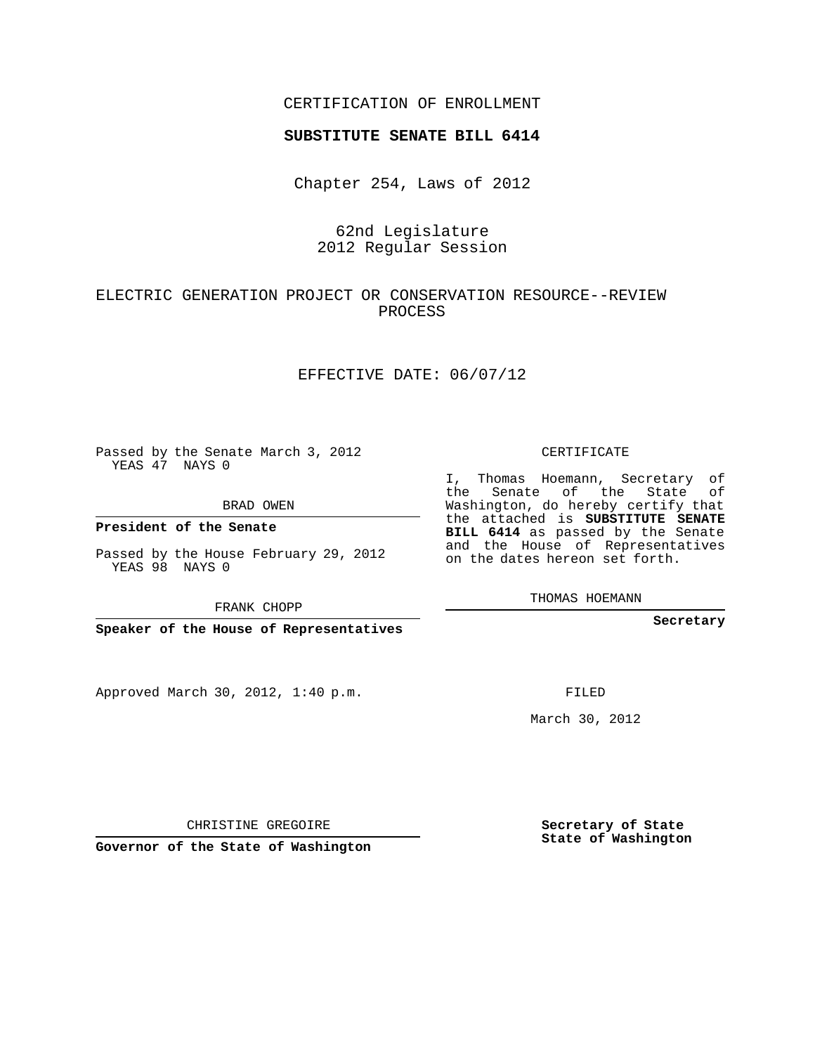### CERTIFICATION OF ENROLLMENT

#### **SUBSTITUTE SENATE BILL 6414**

Chapter 254, Laws of 2012

## 62nd Legislature 2012 Regular Session

## ELECTRIC GENERATION PROJECT OR CONSERVATION RESOURCE--REVIEW PROCESS

#### EFFECTIVE DATE: 06/07/12

Passed by the Senate March 3, 2012 YEAS 47 NAYS 0

BRAD OWEN

**President of the Senate**

Passed by the House February 29, 2012 YEAS 98 NAYS 0

FRANK CHOPP

**Speaker of the House of Representatives**

Approved March 30, 2012, 1:40 p.m.

CERTIFICATE

I, Thomas Hoemann, Secretary of the Senate of the State of Washington, do hereby certify that the attached is **SUBSTITUTE SENATE BILL 6414** as passed by the Senate and the House of Representatives on the dates hereon set forth.

THOMAS HOEMANN

**Secretary**

FILED

March 30, 2012

**Secretary of State State of Washington**

CHRISTINE GREGOIRE

**Governor of the State of Washington**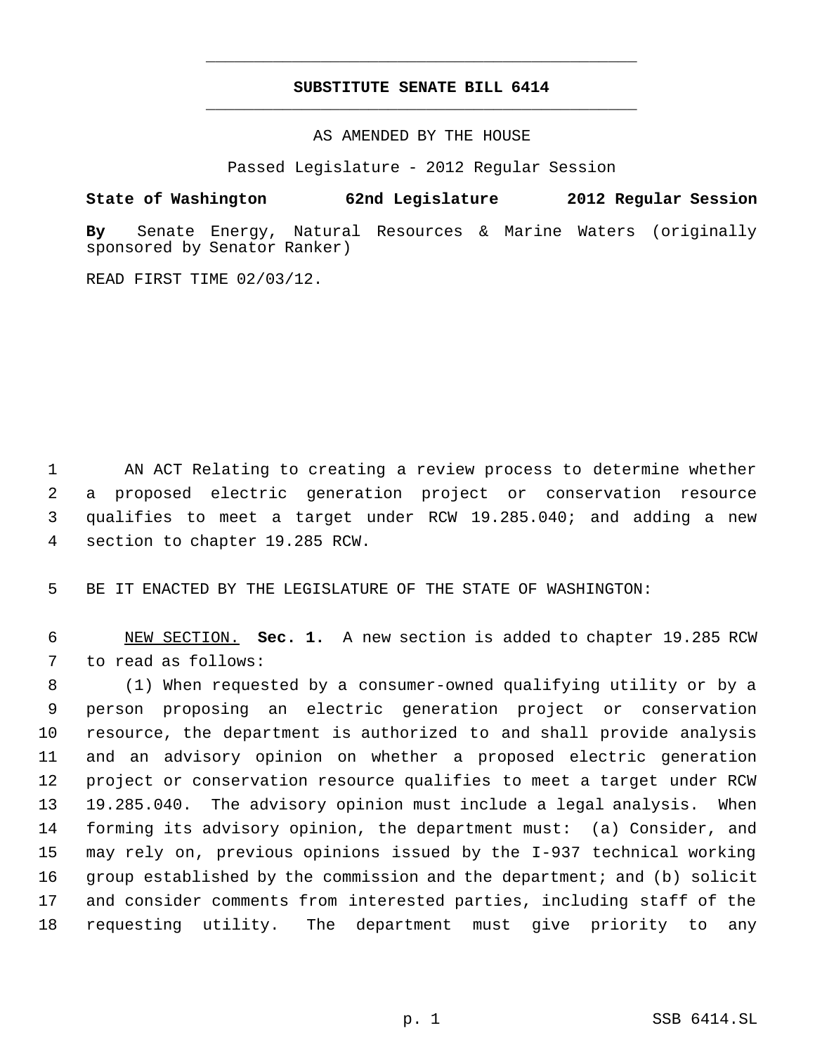# **SUBSTITUTE SENATE BILL 6414** \_\_\_\_\_\_\_\_\_\_\_\_\_\_\_\_\_\_\_\_\_\_\_\_\_\_\_\_\_\_\_\_\_\_\_\_\_\_\_\_\_\_\_\_\_

\_\_\_\_\_\_\_\_\_\_\_\_\_\_\_\_\_\_\_\_\_\_\_\_\_\_\_\_\_\_\_\_\_\_\_\_\_\_\_\_\_\_\_\_\_

AS AMENDED BY THE HOUSE

Passed Legislature - 2012 Regular Session

**State of Washington 62nd Legislature 2012 Regular Session**

**By** Senate Energy, Natural Resources & Marine Waters (originally sponsored by Senator Ranker)

READ FIRST TIME 02/03/12.

 AN ACT Relating to creating a review process to determine whether a proposed electric generation project or conservation resource qualifies to meet a target under RCW 19.285.040; and adding a new section to chapter 19.285 RCW.

BE IT ENACTED BY THE LEGISLATURE OF THE STATE OF WASHINGTON:

 NEW SECTION. **Sec. 1.** A new section is added to chapter 19.285 RCW to read as follows:

 (1) When requested by a consumer-owned qualifying utility or by a person proposing an electric generation project or conservation resource, the department is authorized to and shall provide analysis and an advisory opinion on whether a proposed electric generation project or conservation resource qualifies to meet a target under RCW 19.285.040. The advisory opinion must include a legal analysis. When forming its advisory opinion, the department must: (a) Consider, and may rely on, previous opinions issued by the I-937 technical working group established by the commission and the department; and (b) solicit and consider comments from interested parties, including staff of the requesting utility. The department must give priority to any